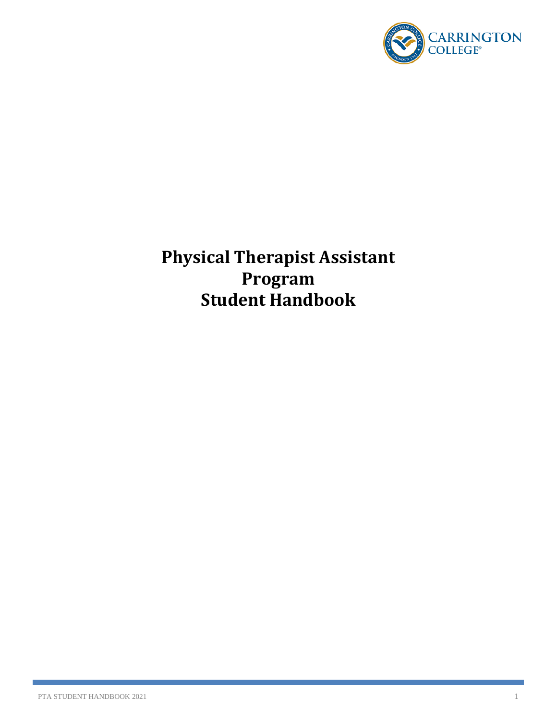

**Physical Therapist Assistant Program Student Handbook**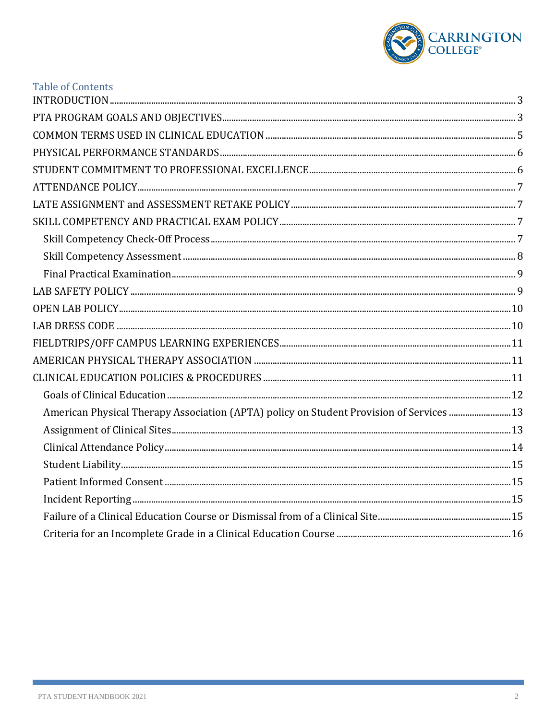

| <b>Table of Contents</b>                                                                |  |
|-----------------------------------------------------------------------------------------|--|
|                                                                                         |  |
|                                                                                         |  |
|                                                                                         |  |
|                                                                                         |  |
|                                                                                         |  |
|                                                                                         |  |
|                                                                                         |  |
|                                                                                         |  |
|                                                                                         |  |
|                                                                                         |  |
|                                                                                         |  |
|                                                                                         |  |
|                                                                                         |  |
|                                                                                         |  |
|                                                                                         |  |
|                                                                                         |  |
|                                                                                         |  |
|                                                                                         |  |
| American Physical Therapy Association (APTA) policy on Student Provision of Services 13 |  |
|                                                                                         |  |
|                                                                                         |  |
|                                                                                         |  |
|                                                                                         |  |
|                                                                                         |  |
|                                                                                         |  |
|                                                                                         |  |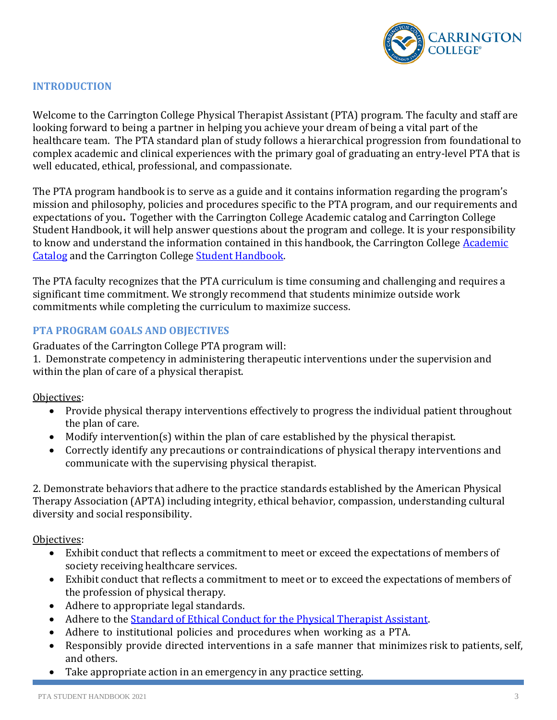

### <span id="page-2-0"></span>**INTRODUCTION**

Welcome to the Carrington College Physical Therapist Assistant (PTA) program. The faculty and staff are looking forward to being a partner in helping you achieve your dream of being a vital part of the healthcare team. The PTA standard plan of study follows a hierarchical progression from foundational to complex academic and clinical experiences with the primary goal of graduating an entry-level PTA that is well educated, ethical, professional, and compassionate.

The PTA program handbook is to serve as a guide and it contains information regarding the program's mission and philosophy, policies and procedures specific to the PTA program, and our requirements and expectations of you**.** Together with the Carrington College Academic catalog and Carrington College Student Handbook, it will help answer questions about the program and college. It is your responsibility to know and understand the information contained in this handbook, the Carrington College Academic [Catalog](https://carrington.edu/catalog/) and the Carrington College [Student Handbook.](https://students.carrington.edu/student-handbook/)

The PTA faculty recognizes that the PTA curriculum is time consuming and challenging and requires a significant time commitment. We strongly recommend that students minimize outside work commitments while completing the curriculum to maximize success.

### <span id="page-2-1"></span>**PTA PROGRAM GOALS AND OBJECTIVES**

Graduates of the Carrington College PTA program will:

1. Demonstrate competency in administering therapeutic interventions under the supervision and within the plan of care of a physical therapist.

Objectives:

- Provide physical therapy interventions effectively to progress the individual patient throughout the plan of care.
- Modify intervention(s) within the plan of care established by the physical therapist.
- Correctly identify any precautions or contraindications of physical therapy interventions and communicate with the supervising physical therapist.

2. Demonstrate behaviors that adhere to the practice standards established by the American Physical Therapy Association (APTA) including integrity, ethical behavior, compassion, understanding cultural diversity and social responsibility.

Objectives:

- Exhibit conduct that reflects a commitment to meet or exceed the expectations of members of society receiving healthcare services.
- Exhibit conduct that reflects a commitment to meet or to exceed the expectations of members of the profession of physical therapy.
- Adhere to appropriate legal standards.
- Adhere to the [Standard of Ethical Conduct for the Physical Therapist](https://www.apta.org/uploadedFiles/APTAorg/About_Us/Policies/Ethics/StandardsEthicalConductPTA.pdf) Assistant.
- Adhere to institutional policies and procedures when working as a PTA.
- Responsibly provide directed interventions in a safe manner that minimizes risk to patients, self, and others.
- Take appropriate action in an emergency in any practice setting.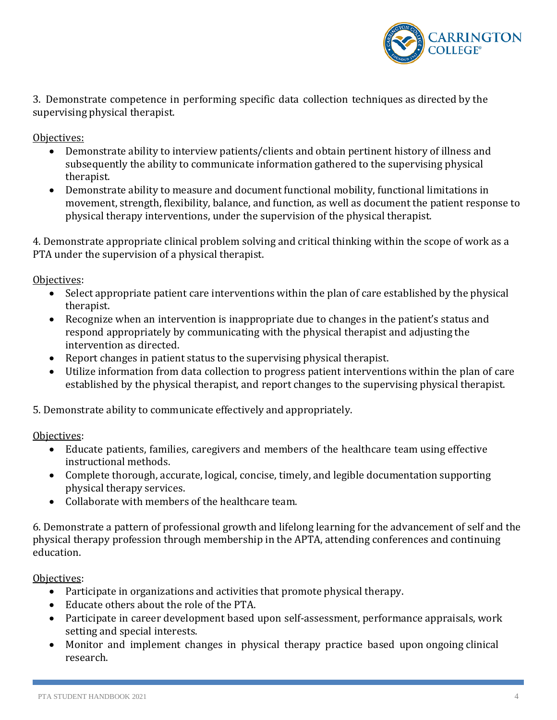

3. Demonstrate competence in performing specific data collection techniques as directed by the supervising physical therapist.

Objectives:

- Demonstrate ability to interview patients/clients and obtain pertinent history of illness and subsequently the ability to communicate information gathered to the supervising physical therapist.
- Demonstrate ability to measure and document functional mobility, functional limitations in movement, strength, flexibility, balance, and function, as well as document the patient response to physical therapy interventions, under the supervision of the physical therapist.

4. Demonstrate appropriate clinical problem solving and critical thinking within the scope of work as a PTA under the supervision of a physical therapist.

Objectives:

- Select appropriate patient care interventions within the plan of care established by the physical therapist.
- Recognize when an intervention is inappropriate due to changes in the patient's status and respond appropriately by communicating with the physical therapist and adjusting the intervention as directed.
- Report changes in patient status to the supervising physical therapist.
- Utilize information from data collection to progress patient interventions within the plan of care established by the physical therapist, and report changes to the supervising physical therapist.

5. Demonstrate ability to communicate effectively and appropriately.

Objectives:

- Educate patients, families, caregivers and members of the healthcare team using effective instructional methods.
- Complete thorough, accurate, logical, concise, timely, and legible documentation supporting physical therapy services.
- Collaborate with members of the healthcare team.

6. Demonstrate a pattern of professional growth and lifelong learning for the advancement of self and the physical therapy profession through membership in the APTA, attending conferences and continuing education.

Objectives:

- Participate in organizations and activities that promote physical therapy.
- Educate others about the role of the PTA.
- Participate in career development based upon self-assessment, performance appraisals, work setting and special interests.
- Monitor and implement changes in physical therapy practice based upon ongoing clinical research.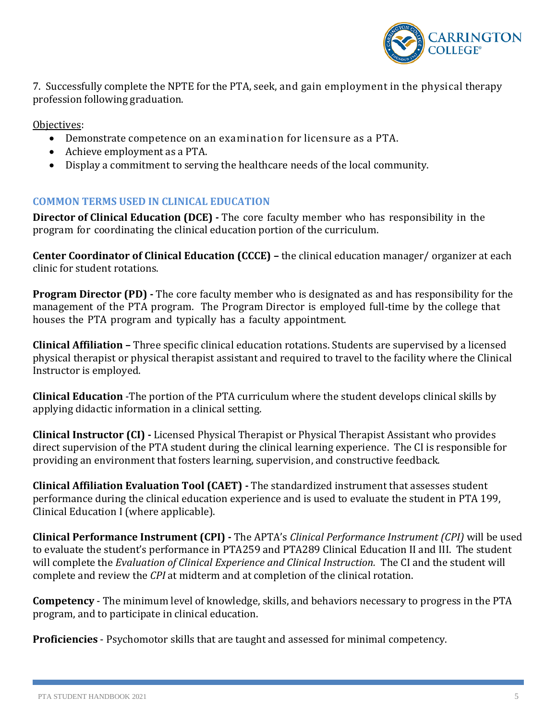

7. Successfully complete the NPTE for the PTA, seek, and gain employment in the physical therapy profession following graduation.

Objectives:

- Demonstrate competence on an examination for licensure as a PTA.
- Achieve employment as a PTA.
- Display a commitment to serving the healthcare needs of the local community.

### <span id="page-4-0"></span>**COMMON TERMS USED IN CLINICAL EDUCATION**

**Director of Clinical Education (DCE) -** The core faculty member who has responsibility in the program for coordinating the clinical education portion of the curriculum.

**Center Coordinator of Clinical Education (CCCE) –** the clinical education manager/ organizer at each clinic for student rotations.

**Program Director (PD) -** The core faculty member who is designated as and has responsibility for the management of the PTA program. The Program Director is employed full-time by the college that houses the PTA program and typically has a faculty appointment.

**Clinical Affiliation –** Three specific clinical education rotations. Students are supervised by a licensed physical therapist or physical therapist assistant and required to travel to the facility where the Clinical Instructor is employed.

**Clinical Education** -The portion of the PTA curriculum where the student develops clinical skills by applying didactic information in a clinical setting.

**Clinical Instructor (CI) -** Licensed Physical Therapist or Physical Therapist Assistant who provides direct supervision of the PTA student during the clinical learning experience. The CI is responsible for providing an environment that fosters learning, supervision, and constructive feedback.

**Clinical Affiliation Evaluation Tool (CAET) -** The standardized instrument that assesses student performance during the clinical education experience and is used to evaluate the student in PTA 199, Clinical Education I (where applicable).

**Clinical Performance Instrument (CPI) -** The APTA's *Clinical Performance Instrument (CPI)* will be used to evaluate the student's performance in PTA259 and PTA289 Clinical Education II and III. The student will complete the *Evaluation of Clinical Experience and Clinical Instruction.* The CI and the student will complete and review the *CPI* at midterm and at completion of the clinical rotation.

**Competency** - The minimum level of knowledge, skills, and behaviors necessary to progress in the PTA program, and to participate in clinical education.

**Proficiencies** - Psychomotor skills that are taught and assessed for minimal competency.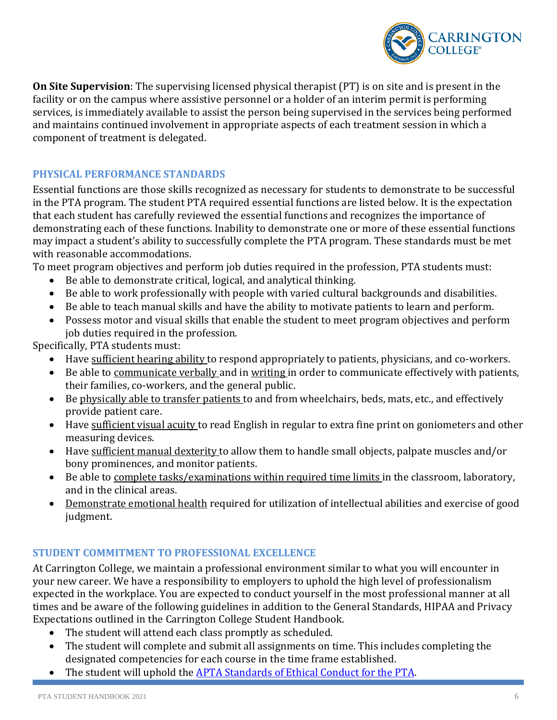

**On Site Supervision**: The supervising licensed physical therapist (PT) is on site and is present in the facility or on the campus where assistive personnel or a holder of an interim permit is performing services, is immediately available to assist the person being supervised in the services being performed and maintains continued involvement in appropriate aspects of each treatment session in which a component of treatment is delegated.

### <span id="page-5-0"></span>**PHYSICAL PERFORMANCE STANDARDS**

Essential functions are those skills recognized as necessary for students to demonstrate to be successful in the PTA program. The student PTA required essential functions are listed below. It is the expectation that each student has carefully reviewed the essential functions and recognizes the importance of demonstrating each of these functions. Inability to demonstrate one or more of these essential functions may impact a student's ability to successfully complete the PTA program. These standards must be met with reasonable accommodations.

To meet program objectives and perform job duties required in the profession, PTA students must:

- Be able to demonstrate critical, logical, and analytical thinking.
- Be able to work professionally with people with varied cultural backgrounds and disabilities.
- Be able to teach manual skills and have the ability to motivate patients to learn and perform.
- Possess motor and visual skills that enable the student to meet program objectives and perform job duties required in the profession.

Specifically, PTA students must:

- Have sufficient hearing ability to respond appropriately to patients, physicians, and co-workers.
- Be able to communicate verbally and in writing in order to communicate effectively with patients, their families, co-workers, and the general public.
- Be physically able to transfer patients to and from wheelchairs, beds, mats, etc., and effectively provide patient care.
- Have sufficient visual acuity to read English in regular to extra fine print on goniometers and other measuring devices.
- Have sufficient manual dexterity to allow them to handle small objects, palpate muscles and/or bony prominences, and monitor patients.
- Be able to complete tasks/examinations within required time limits in the classroom, laboratory, and in the clinical areas.
- Demonstrate emotional health required for utilization of intellectual abilities and exercise of good judgment.

### <span id="page-5-1"></span>**STUDENT COMMITMENT TO PROFESSIONAL EXCELLENCE**

At Carrington College, we maintain a professional environment similar to what you will encounter in your new career. We have a responsibility to employers to uphold the high level of professionalism expected in the workplace. You are expected to conduct yourself in the most professional manner at all times and be aware of the following guidelines in addition to the General Standards, HIPAA and Privacy Expectations outlined in the Carrington College Student Handbook.

- The student will attend each class promptly as scheduled.
- The student will complete and submit all assignments on time. This includes completing the designated competencies for each course in the time frame established.
- The student will uphold the [APTA Standards of Ethical Conduct for the PTA.](https://www.apta.org/apta-and-you/leadership-and-governance/policies/standards-of-ethical-conduct-for-the-physical-therapist-assistant)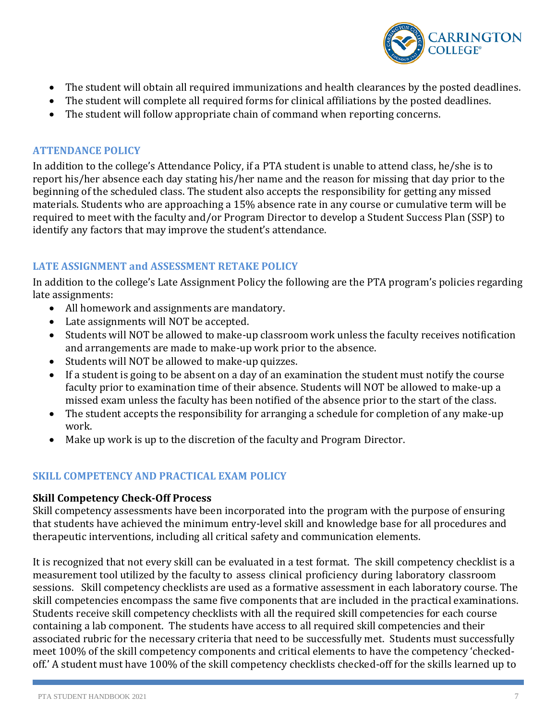

- The student will obtain all required immunizations and health clearances by the posted deadlines.
- The student will complete all required forms for clinical affiliations by the posted deadlines.
- The student will follow appropriate chain of command when reporting concerns.

#### <span id="page-6-0"></span>**ATTENDANCE POLICY**

In addition to the college's Attendance Policy, if a PTA student is unable to attend class, he/she is to report his/her absence each day stating his/her name and the reason for missing that day prior to the beginning of the scheduled class. The student also accepts the responsibility for getting any missed materials. Students who are approaching a 15% absence rate in any course or cumulative term will be required to meet with the faculty and/or Program Director to develop a Student Success Plan (SSP) to identify any factors that may improve the student's attendance.

### <span id="page-6-1"></span>**LATE ASSIGNMENT and ASSESSMENT RETAKE POLICY**

In addition to the college's Late Assignment Policy the following are the PTA program's policies regarding late assignments:

- All homework and assignments are mandatory.
- Late assignments will NOT be accepted.
- Students will NOT be allowed to make-up classroom work unless the faculty receives notification and arrangements are made to make-up work prior to the absence.
- Students will NOT be allowed to make-up quizzes.
- If a student is going to be absent on a day of an examination the student must notify the course faculty prior to examination time of their absence. Students will NOT be allowed to make-up a missed exam unless the faculty has been notified of the absence prior to the start of the class.
- The student accepts the responsibility for arranging a schedule for completion of any make-up work.
- Make up work is up to the discretion of the faculty and Program Director.

### <span id="page-6-2"></span>**SKILL COMPETENCY AND PRACTICAL EXAM POLICY**

### <span id="page-6-3"></span>**Skill Competency Check-Off Process**

Skill competency assessments have been incorporated into the program with the purpose of ensuring that students have achieved the minimum entry-level skill and knowledge base for all procedures and therapeutic interventions, including all critical safety and communication elements.

It is recognized that not every skill can be evaluated in a test format. The skill competency checklist is a measurement tool utilized by the faculty to assess clinical proficiency during laboratory classroom sessions. Skill competency checklists are used as a formative assessment in each laboratory course. The skill competencies encompass the same five components that are included in the practical examinations. Students receive skill competency checklists with all the required skill competencies for each course containing a lab component. The students have access to all required skill competencies and their associated rubric for the necessary criteria that need to be successfully met. Students must successfully meet 100% of the skill competency components and critical elements to have the competency 'checkedoff.' A student must have 100% of the skill competency checklists checked-off for the skills learned up to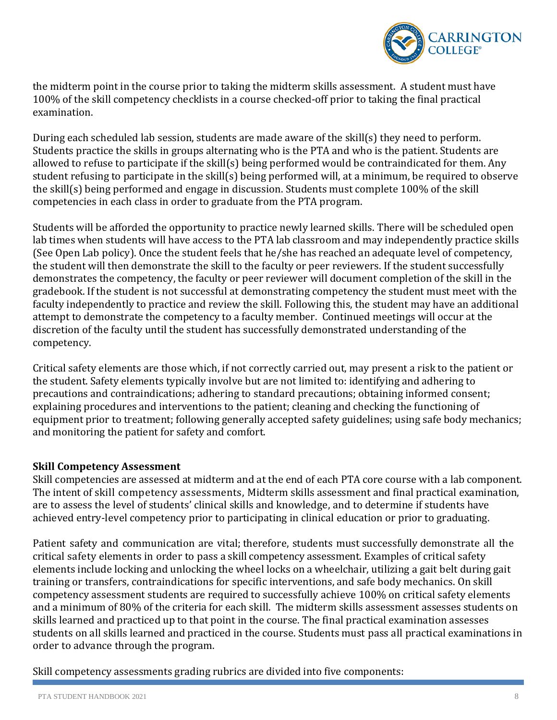

the midterm point in the course prior to taking the midterm skills assessment. A student must have 100% of the skill competency checklists in a course checked-off prior to taking the final practical examination.

During each scheduled lab session, students are made aware of the skill(s) they need to perform. Students practice the skills in groups alternating who is the PTA and who is the patient. Students are allowed to refuse to participate if the skill(s) being performed would be contraindicated for them. Any student refusing to participate in the skill(s) being performed will, at a minimum, be required to observe the skill(s) being performed and engage in discussion. Students must complete 100% of the skill competencies in each class in order to graduate from the PTA program.

Students will be afforded the opportunity to practice newly learned skills. There will be scheduled open lab times when students will have access to the PTA lab classroom and may independently practice skills (See Open Lab policy). Once the student feels that he/she has reached an adequate level of competency, the student will then demonstrate the skill to the faculty or peer reviewers. If the student successfully demonstrates the competency, the faculty or peer reviewer will document completion of the skill in the gradebook. If the student is not successful at demonstrating competency the student must meet with the faculty independently to practice and review the skill. Following this, the student may have an additional attempt to demonstrate the competency to a faculty member. Continued meetings will occur at the discretion of the faculty until the student has successfully demonstrated understanding of the competency.

Critical safety elements are those which, if not correctly carried out, may present a risk to the patient or the student. Safety elements typically involve but are not limited to: identifying and adhering to precautions and contraindications; adhering to standard precautions; obtaining informed consent; explaining procedures and interventions to the patient; cleaning and checking the functioning of equipment prior to treatment; following generally accepted safety guidelines; using safe body mechanics; and monitoring the patient for safety and comfort.

### <span id="page-7-0"></span>**Skill Competency Assessment**

Skill competencies are assessed at midterm and at the end of each PTA core course with a lab component. The intent of skill competency assessments, Midterm skills assessment and final practical examination, are to assess the level of students' clinical skills and knowledge, and to determine if students have achieved entry-level competency prior to participating in clinical education or prior to graduating.

Patient safety and communication are vital; therefore, students must successfully demonstrate all the critical safety elements in order to pass a skill competency assessment. Examples of critical safety elements include locking and unlocking the wheel locks on a wheelchair, utilizing a gait belt during gait training or transfers, contraindications for specific interventions, and safe body mechanics. On skill competency assessment students are required to successfully achieve 100% on critical safety elements and a minimum of 80% of the criteria for each skill. The midterm skills assessment assesses students on skills learned and practiced up to that point in the course. The final practical examination assesses students on all skills learned and practiced in the course. Students must pass all practical examinations in order to advance through the program.

Skill competency assessments grading rubrics are divided into five components: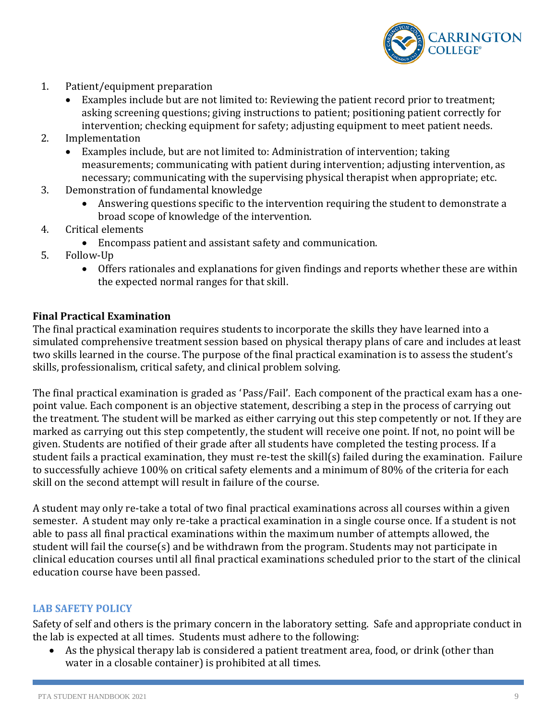

- 1. Patient/equipment preparation
	- Examples include but are not limited to: Reviewing the patient record prior to treatment; asking screening questions; giving instructions to patient; positioning patient correctly for intervention; checking equipment for safety; adjusting equipment to meet patient needs.
- 2. Implementation
	- Examples include, but are not limited to: Administration of intervention; taking measurements; communicating with patient during intervention; adjusting intervention, as necessary; communicating with the supervising physical therapist when appropriate; etc.
- 3. Demonstration of fundamental knowledge
	- Answering questions specific to the intervention requiring the student to demonstrate a broad scope of knowledge of the intervention.
- 4. Critical elements
	- Encompass patient and assistant safety and communication.
- 5. Follow-Up
	- Offers rationales and explanations for given findings and reports whether these are within the expected normal ranges for that skill.

#### <span id="page-8-0"></span>**Final Practical Examination**

The final practical examination requires students to incorporate the skills they have learned into a simulated comprehensive treatment session based on physical therapy plans of care and includes at least two skills learned in the course. The purpose of the final practical examination is to assess the student's skills, professionalism, critical safety, and clinical problem solving.

The final practical examination is graded as 'Pass/Fail'. Each component of the practical exam has a onepoint value. Each component is an objective statement, describing a step in the process of carrying out the treatment. The student will be marked as either carrying out this step competently or not. If they are marked as carrying out this step competently, the student will receive one point. If not, no point will be given. Students are notified of their grade after all students have completed the testing process. If a student fails a practical examination, they must re-test the skill(s) failed during the examination. Failure to successfully achieve 100% on critical safety elements and a minimum of 80% of the criteria for each skill on the second attempt will result in failure of the course.

A student may only re-take a total of two final practical examinations across all courses within a given semester. A student may only re-take a practical examination in a single course once. If a student is not able to pass all final practical examinations within the maximum number of attempts allowed, the student will fail the course(s) and be withdrawn from the program. Students may not participate in clinical education courses until all final practical examinations scheduled prior to the start of the clinical education course have been passed.

#### <span id="page-8-1"></span>**LAB SAFETY POLICY**

Safety of self and others is the primary concern in the laboratory setting. Safe and appropriate conduct in the lab is expected at all times. Students must adhere to the following:

• As the physical therapy lab is considered a patient treatment area, food, or drink (other than water in a closable container) is prohibited at all times.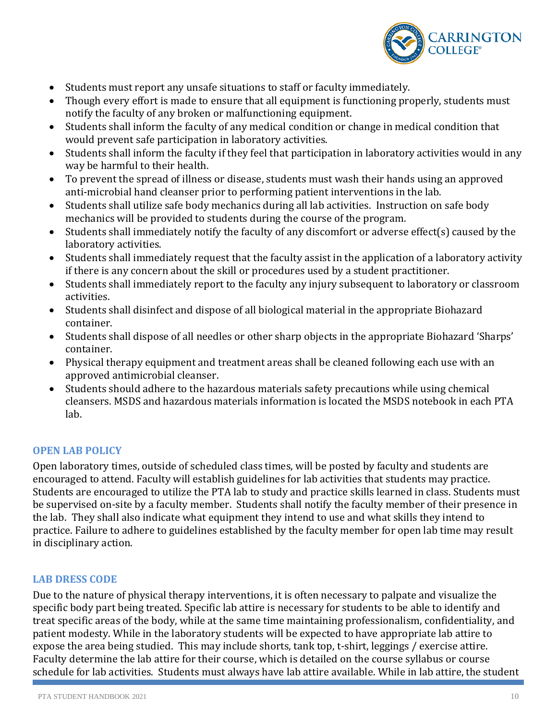

- Students must report any unsafe situations to staff or faculty immediately.
- Though every effort is made to ensure that all equipment is functioning properly, students must notify the faculty of any broken or malfunctioning equipment.
- Students shall inform the faculty of any medical condition or change in medical condition that would prevent safe participation in laboratory activities.
- Students shall inform the faculty if they feel that participation in laboratory activities would in any way be harmful to their health.
- To prevent the spread of illness or disease, students must wash their hands using an approved anti-microbial hand cleanser prior to performing patient interventions in the lab.
- Students shall utilize safe body mechanics during all lab activities. Instruction on safe body mechanics will be provided to students during the course of the program.
- Students shall immediately notify the faculty of any discomfort or adverse effect(s) caused by the laboratory activities.
- Students shall immediately request that the faculty assist in the application of a laboratory activity if there is any concern about the skill or procedures used by a student practitioner.
- Students shall immediately report to the faculty any injury subsequent to laboratory or classroom activities.
- Students shall disinfect and dispose of all biological material in the appropriate Biohazard container.
- Students shall dispose of all needles or other sharp objects in the appropriate Biohazard 'Sharps' container.
- Physical therapy equipment and treatment areas shall be cleaned following each use with an approved antimicrobial cleanser.
- Students should adhere to the hazardous materials safety precautions while using chemical cleansers. MSDS and hazardous materials information is located the MSDS notebook in each PTA lab.

### <span id="page-9-0"></span>**OPEN LAB POLICY**

Open laboratory times, outside of scheduled class times, will be posted by faculty and students are encouraged to attend. Faculty will establish guidelines for lab activities that students may practice. Students are encouraged to utilize the PTA lab to study and practice skills learned in class. Students must be supervised on-site by a faculty member. Students shall notify the faculty member of their presence in the lab. They shall also indicate what equipment they intend to use and what skills they intend to practice. Failure to adhere to guidelines established by the faculty member for open lab time may result in disciplinary action.

### <span id="page-9-1"></span>**LAB DRESS CODE**

Due to the nature of physical therapy interventions, it is often necessary to palpate and visualize the specific body part being treated. Specific lab attire is necessary for students to be able to identify and treat specific areas of the body, while at the same time maintaining professionalism, confidentiality, and patient modesty. While in the laboratory students will be expected to have appropriate lab attire to expose the area being studied. This may include shorts, tank top, t-shirt, leggings / exercise attire. Faculty determine the lab attire for their course, which is detailed on the course syllabus or course schedule for lab activities. Students must always have lab attire available. While in lab attire, the student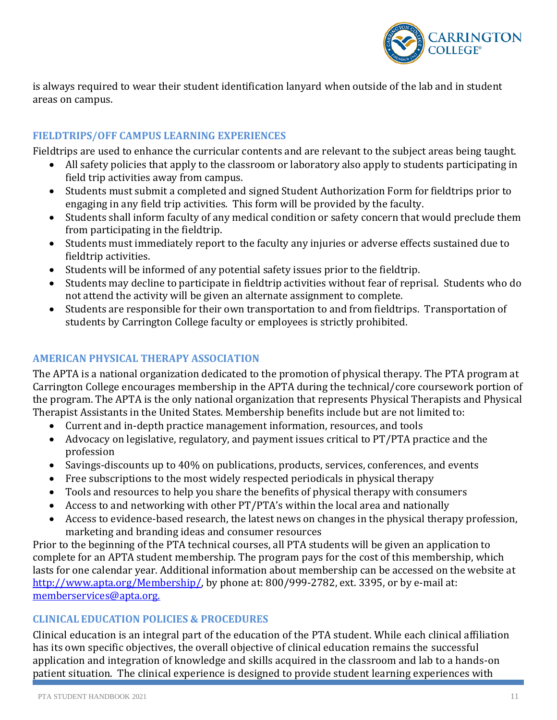

is always required to wear their student identification lanyard when outside of the lab and in student areas on campus.

### <span id="page-10-0"></span>**FIELDTRIPS/OFF CAMPUS LEARNING EXPERIENCES**

Fieldtrips are used to enhance the curricular contents and are relevant to the subject areas being taught.

- All safety policies that apply to the classroom or laboratory also apply to students participating in field trip activities away from campus.
- Students must submit a completed and signed Student Authorization Form for fieldtrips prior to engaging in any field trip activities. This form will be provided by the faculty.
- Students shall inform faculty of any medical condition or safety concern that would preclude them from participating in the fieldtrip.
- Students must immediately report to the faculty any injuries or adverse effects sustained due to fieldtrip activities.
- Students will be informed of any potential safety issues prior to the fieldtrip.
- Students may decline to participate in fieldtrip activities without fear of reprisal. Students who do not attend the activity will be given an alternate assignment to complete.
- Students are responsible for their own transportation to and from fieldtrips. Transportation of students by Carrington College faculty or employees is strictly prohibited.

## <span id="page-10-1"></span>**AMERICAN PHYSICAL THERAPY ASSOCIATION**

The APTA is a national organization dedicated to the promotion of physical therapy. The PTA program at Carrington College encourages membership in the APTA during the technical/core coursework portion of the program. The APTA is the only national organization that represents Physical Therapists and Physical Therapist Assistants in the United States. Membership benefits include but are not limited to:

- Current and in-depth practice management information, resources, and tools
- Advocacy on legislative, regulatory, and payment issues critical to PT/PTA practice and the profession
- Savings-discounts up to 40% on publications, products, services, conferences, and events
- Free subscriptions to the most widely respected periodicals in physical therapy
- Tools and resources to help you share the benefits of physical therapy with consumers
- Access to and networking with other PT/PTA's within the local area and nationally
- Access to evidence-based research, the latest news on changes in the physical therapy profession, marketing and branding ideas and consumer resources

Prior to the beginning of the PTA technical courses, all PTA students will be given an application to complete for an APTA student membership. The program pays for the cost of this membership, which lasts for one calendar year. Additional information about membership can be accessed on the website at [http://www.apta.org/Membership/,](http://www.apta.org/Membership/) by phone at: 800/999-2782, ext. 3395, or by e-mail at: [memberservices@apta.org.](mailto:memberservices@apta.org)

# <span id="page-10-2"></span>**CLINICAL EDUCATION POLICIES & PROCEDURES**

Clinical education is an integral part of the education of the PTA student. While each clinical affiliation has its own specific objectives, the overall objective of clinical education remains the successful application and integration of knowledge and skills acquired in the classroom and lab to a hands-on patient situation. The clinical experience is designed to provide student learning experiences with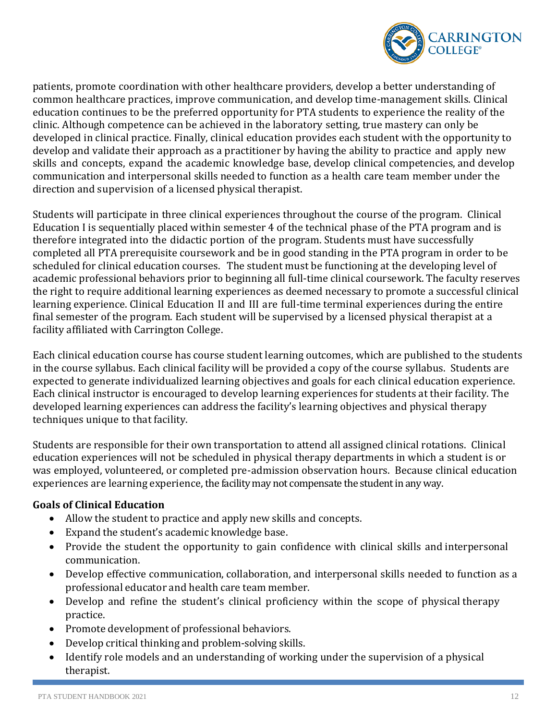

patients, promote coordination with other healthcare providers, develop a better understanding of common healthcare practices, improve communication, and develop time-management skills. Clinical education continues to be the preferred opportunity for PTA students to experience the reality of the clinic. Although competence can be achieved in the laboratory setting, true mastery can only be developed in clinical practice. Finally, clinical education provides each student with the opportunity to develop and validate their approach as a practitioner by having the ability to practice and apply new skills and concepts, expand the academic knowledge base, develop clinical competencies, and develop communication and interpersonal skills needed to function as a health care team member under the direction and supervision of a licensed physical therapist.

Students will participate in three clinical experiences throughout the course of the program. Clinical Education I is sequentially placed within semester 4 of the technical phase of the PTA program and is therefore integrated into the didactic portion of the program. Students must have successfully completed all PTA prerequisite coursework and be in good standing in the PTA program in order to be scheduled for clinical education courses. The student must be functioning at the developing level of academic professional behaviors prior to beginning all full-time clinical coursework. The faculty reserves the right to require additional learning experiences as deemed necessary to promote a successful clinical learning experience. Clinical Education II and III are full-time terminal experiences during the entire final semester of the program. Each student will be supervised by a licensed physical therapist at a facility affiliated with Carrington College.

Each clinical education course has course student learning outcomes, which are published to the students in the course syllabus. Each clinical facility will be provided a copy of the course syllabus. Students are expected to generate individualized learning objectives and goals for each clinical education experience. Each clinical instructor is encouraged to develop learning experiences for students at their facility. The developed learning experiences can address the facility's learning objectives and physical therapy techniques unique to that facility.

Students are responsible for their own transportation to attend all assigned clinical rotations. Clinical education experiences will not be scheduled in physical therapy departments in which a student is or was employed, volunteered, or completed pre-admission observation hours. Because clinical education experiences are learning experience, the facility may not compensate the student in any way.

### <span id="page-11-0"></span>**Goals of Clinical Education**

- Allow the student to practice and apply new skills and concepts.
- Expand the student's academic knowledge base.
- Provide the student the opportunity to gain confidence with clinical skills and interpersonal communication.
- Develop effective communication, collaboration, and interpersonal skills needed to function as a professional educator and health care team member.
- Develop and refine the student's clinical proficiency within the scope of physical therapy practice.
- Promote development of professional behaviors.
- Develop critical thinking and problem-solving skills.
- Identify role models and an understanding of working under the supervision of a physical therapist.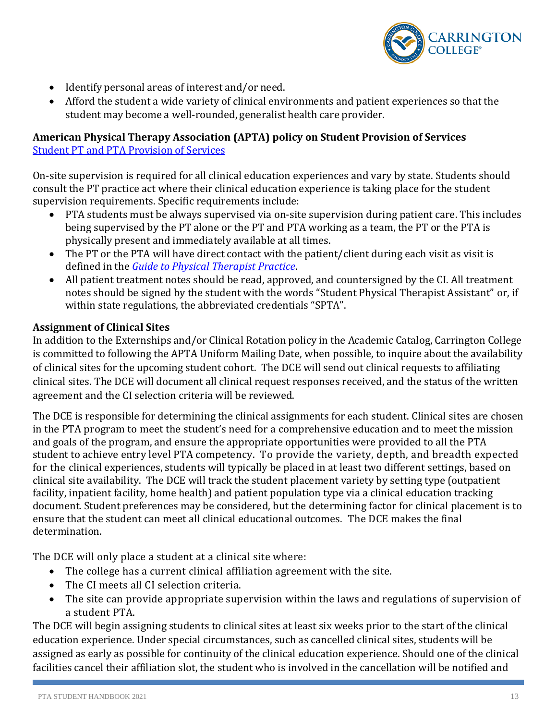

- Identify personal areas of interest and/or need.
- Afford the student a wide variety of clinical environments and patient experiences so that the student may become a well-rounded, generalist health care provider.

#### <span id="page-12-0"></span>**American Physical Therapy Association (APTA) policy on Student Provision of Services** [Student PT and PTA Provision of Services](https://www.apta.org/apta-and-you/leadership-and-governance/policies/student-pt-provision-services)

On-site supervision is required for all clinical education experiences and vary by state. Students should consult the PT practice act where their clinical education experience is taking place for the student supervision requirements. Specific requirements include:

- PTA students must be always supervised via on-site supervision during patient care. This includes being supervised by the PT alone or the PT and PTA working as a team, the PT or the PTA is physically present and immediately available at all times.
- The PT or the PTA will have direct contact with the patient/client during each visit as visit is defined in the *[Guide to Physical Therapist Practice](http://guidetoptpractice.apta.org/)*.
- All patient treatment notes should be read, approved, and countersigned by the CI. All treatment notes should be signed by the student with the words "Student Physical Therapist Assistant" or, if within state regulations, the abbreviated credentials "SPTA".

## <span id="page-12-1"></span>**Assignment of Clinical Sites**

In addition to the Externships and/or Clinical Rotation policy in the Academic Catalog, Carrington College is committed to following the APTA Uniform Mailing Date, when possible, to inquire about the availability of clinical sites for the upcoming student cohort. The DCE will send out clinical requests to affiliating clinical sites. The DCE will document all clinical request responses received, and the status of the written agreement and the CI selection criteria will be reviewed.

The DCE is responsible for determining the clinical assignments for each student. Clinical sites are chosen in the PTA program to meet the student's need for a comprehensive education and to meet the mission and goals of the program, and ensure the appropriate opportunities were provided to all the PTA student to achieve entry level PTA competency. To provide the variety, depth, and breadth expected for the clinical experiences, students will typically be placed in at least two different settings, based on clinical site availability. The DCE will track the student placement variety by setting type (outpatient facility, inpatient facility, home health) and patient population type via a clinical education tracking document. Student preferences may be considered, but the determining factor for clinical placement is to ensure that the student can meet all clinical educational outcomes. The DCE makes the final determination.

The DCE will only place a student at a clinical site where:

- The college has a current clinical affiliation agreement with the site.
- The CI meets all CI selection criteria.
- The site can provide appropriate supervision within the laws and regulations of supervision of a student PTA.

The DCE will begin assigning students to clinical sites at least six weeks prior to the start of the clinical education experience. Under special circumstances, such as cancelled clinical sites, students will be assigned as early as possible for continuity of the clinical education experience. Should one of the clinical facilities cancel their affiliation slot, the student who is involved in the cancellation will be notified and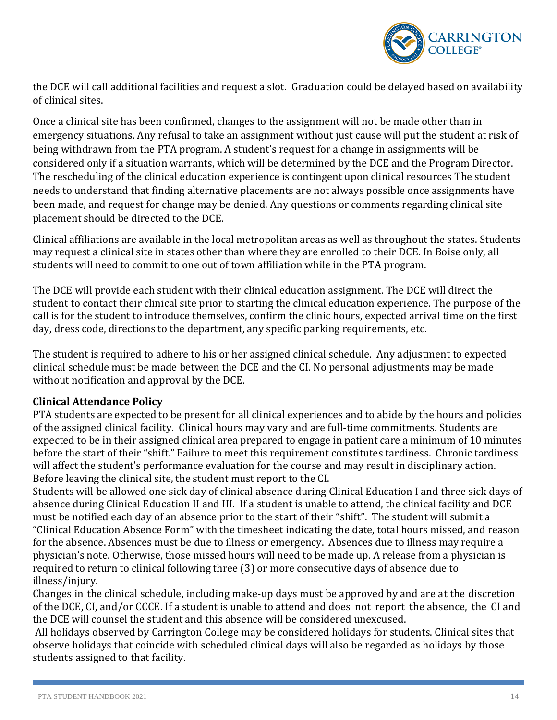

the DCE will call additional facilities and request a slot. Graduation could be delayed based on availability of clinical sites.

Once a clinical site has been confirmed, changes to the assignment will not be made other than in emergency situations. Any refusal to take an assignment without just cause will put the student at risk of being withdrawn from the PTA program. A student's request for a change in assignments will be considered only if a situation warrants, which will be determined by the DCE and the Program Director. The rescheduling of the clinical education experience is contingent upon clinical resources The student needs to understand that finding alternative placements are not always possible once assignments have been made, and request for change may be denied. Any questions or comments regarding clinical site placement should be directed to the DCE.

Clinical affiliations are available in the local metropolitan areas as well as throughout the states. Students may request a clinical site in states other than where they are enrolled to their DCE. In Boise only, all students will need to commit to one out of town affiliation while in the PTA program.

The DCE will provide each student with their clinical education assignment. The DCE will direct the student to contact their clinical site prior to starting the clinical education experience. The purpose of the call is for the student to introduce themselves, confirm the clinic hours, expected arrival time on the first day, dress code, directions to the department, any specific parking requirements, etc.

The student is required to adhere to his or her assigned clinical schedule. Any adjustment to expected clinical schedule must be made between the DCE and the CI. No personal adjustments may be made without notification and approval by the DCE.

### <span id="page-13-0"></span>**Clinical Attendance Policy**

PTA students are expected to be present for all clinical experiences and to abide by the hours and policies of the assigned clinical facility. Clinical hours may vary and are full-time commitments. Students are expected to be in their assigned clinical area prepared to engage in patient care a minimum of 10 minutes before the start of their "shift." Failure to meet this requirement constitutes tardiness. Chronic tardiness will affect the student's performance evaluation for the course and may result in disciplinary action. Before leaving the clinical site, the student must report to the CI.

Students will be allowed one sick day of clinical absence during Clinical Education I and three sick days of absence during Clinical Education II and III. If a student is unable to attend, the clinical facility and DCE must be notified each day of an absence prior to the start of their "shift". The student will submit a "Clinical Education Absence Form" with the timesheet indicating the date, total hours missed, and reason for the absence. Absences must be due to illness or emergency. Absences due to illness may require a physician's note. Otherwise, those missed hours will need to be made up. A release from a physician is required to return to clinical following three (3) or more consecutive days of absence due to illness/injury.

Changes in the clinical schedule, including make-up days must be approved by and are at the discretion of the DCE, CI, and/or CCCE. If a student is unable to attend and does not report the absence, the CI and the DCE will counsel the student and this absence will be considered unexcused.

All holidays observed by Carrington College may be considered holidays for students. Clinical sites that observe holidays that coincide with scheduled clinical days will also be regarded as holidays by those students assigned to that facility.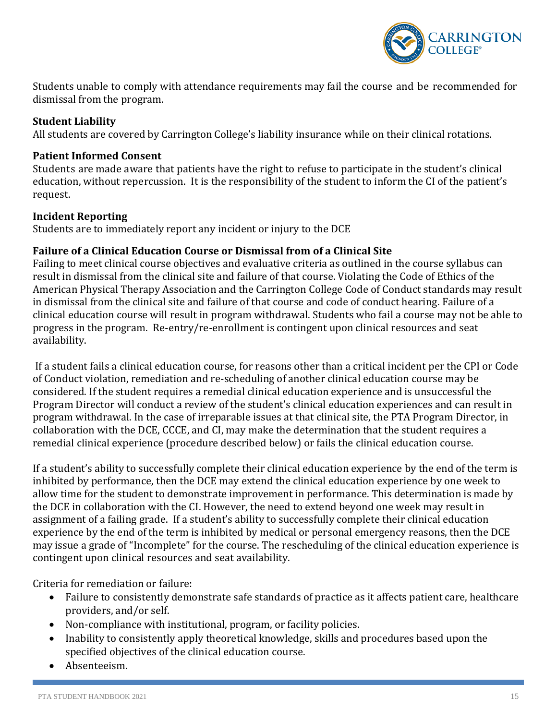

Students unable to comply with attendance requirements may fail the course and be recommended for dismissal from the program.

#### <span id="page-14-0"></span>**Student Liability**

All students are covered by Carrington College's liability insurance while on their clinical rotations.

#### <span id="page-14-1"></span>**Patient Informed Consent**

Students are made aware that patients have the right to refuse to participate in the student's clinical education, without repercussion. It is the responsibility of the student to inform the CI of the patient's request.

#### <span id="page-14-2"></span>**Incident Reporting**

Students are to immediately report any incident or injury to the DCE

### <span id="page-14-3"></span>**Failure of a Clinical Education Course or Dismissal from of a Clinical Site**

Failing to meet clinical course objectives and evaluative criteria as outlined in the course syllabus can result in dismissal from the clinical site and failure of that course. Violating the Code of Ethics of the American Physical Therapy Association and the Carrington College Code of Conduct standards may result in dismissal from the clinical site and failure of that course and code of conduct hearing. Failure of a clinical education course will result in program withdrawal. Students who fail a course may not be able to progress in the program. Re-entry/re-enrollment is contingent upon clinical resources and seat availability.

If a student fails a clinical education course, for reasons other than a critical incident per the CPI or Code of Conduct violation, remediation and re-scheduling of another clinical education course may be considered. If the student requires a remedial clinical education experience and is unsuccessful the Program Director will conduct a review of the student's clinical education experiences and can result in program withdrawal. In the case of irreparable issues at that clinical site, the PTA Program Director, in collaboration with the DCE, CCCE, and CI, may make the determination that the student requires a remedial clinical experience (procedure described below) or fails the clinical education course.

If a student's ability to successfully complete their clinical education experience by the end of the term is inhibited by performance, then the DCE may extend the clinical education experience by one week to allow time for the student to demonstrate improvement in performance. This determination is made by the DCE in collaboration with the CI. However, the need to extend beyond one week may result in assignment of a failing grade. If a student's ability to successfully complete their clinical education experience by the end of the term is inhibited by medical or personal emergency reasons, then the DCE may issue a grade of "Incomplete" for the course. The rescheduling of the clinical education experience is contingent upon clinical resources and seat availability.

Criteria for remediation or failure:

- Failure to consistently demonstrate safe standards of practice as it affects patient care, healthcare providers, and/or self.
- Non-compliance with institutional, program, or facility policies.
- Inability to consistently apply theoretical knowledge, skills and procedures based upon the specified objectives of the clinical education course.
- Absenteeism.